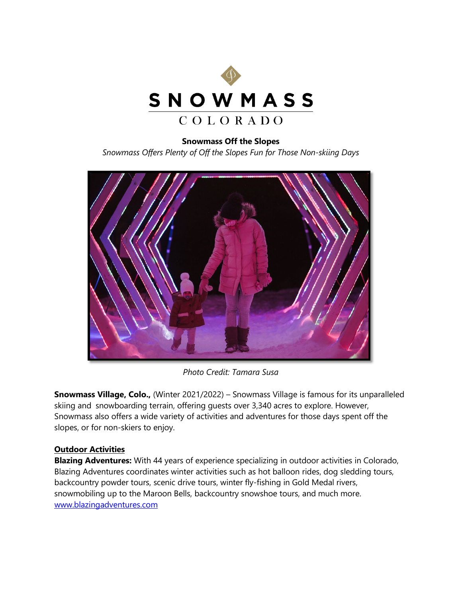

## **Snowmass Off the Slopes**

*Snowmass Offers Plenty of Off the Slopes Fun for Those Non-skiing Days*



*Photo Credit: Tamara Susa*

**Snowmass Village, Colo.,** (Winter 2021/2022) – Snowmass Village is famous for its unparalleled skiing and snowboarding terrain, offering guests over 3,340 acres to explore. However, Snowmass also offers a wide variety of activities and adventures for those days spent off the slopes, or for non-skiers to enjoy.

## **Outdoor Activities**

**Blazing Adventures:** With 44 years of experience specializing in outdoor activities in Colorado, Blazing Adventures coordinates winter activities such as hot balloon rides, dog sledding tours, backcountry powder tours, scenic drive tours, winter fly-fishing in Gold Medal rivers, snowmobiling up to the Maroon Bells, backcountry snowshoe tours, and much more. [www.blazingadventures.com](http://www.blazingadventures.com/)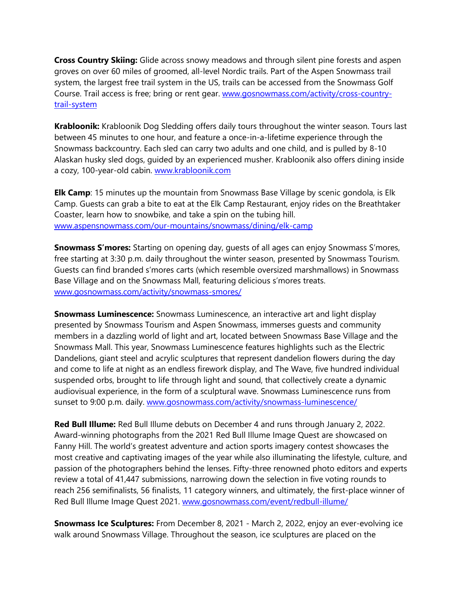**Cross Country Skiing:** Glide across snowy meadows and through silent pine forests and aspen groves on over 60 miles of groomed, all-level Nordic trails. Part of the Aspen Snowmass trail system, the largest free trail system in the US, trails can be accessed from the Snowmass Golf Course. Trail access is free; bring or rent gear. [www.gosnowmass.com/activity/cross-country](https://www.gosnowmass.com/activity/cross-country-trail-system/)[trail-system](https://www.gosnowmass.com/activity/cross-country-trail-system/)

**Krabloonik:** Krabloonik Dog Sledding offers daily tours throughout the winter season. Tours last between 45 minutes to one hour, and feature a once-in-a-lifetime experience through the Snowmass backcountry. Each sled can carry two adults and one child, and is pulled by 8-10 Alaskan husky sled dogs, guided by an experienced musher. Krabloonik also offers dining inside a cozy, 100-year-old cabin. [www.krabloonik.com](http://www.krabloonik.com/) 

**Elk Camp**: 15 minutes up the mountain from Snowmass Base Village by scenic gondola, is Elk Camp. Guests can grab a bite to eat at the Elk Camp Restaurant, enjoy rides on the Breathtaker Coaster, learn how to snowbike, and take a spin on the tubing hill. [www.aspensnowmass.com/our-mountains/snowmass/dining/elk-camp](http://www.aspensnowmass.com/our-mountains/snowmass/dining/elk-camp)

**Snowmass S'mores:** Starting on opening day, guests of all ages can enjoy Snowmass S'mores, free starting at 3:30 p.m. daily throughout the winter season, presented by Snowmass Tourism. Guests can find branded s'mores carts (which resemble oversized marshmallows) in Snowmass Base Village and on the Snowmass Mall, featuring delicious s'mores treats. [www.gosnowmass.com/activity/snowmass-smores/](http://www.gosnowmass.com/activity/snowmass-smores/)

**Snowmass Luminescence:** Snowmass Luminescence, an interactive art and light display presented by Snowmass Tourism and Aspen Snowmass, immerses guests and community members in a dazzling world of light and art, located between Snowmass Base Village and the Snowmass Mall. This year, Snowmass Luminescence features highlights such as the Electric Dandelions, giant steel and acrylic sculptures that represent dandelion flowers during the day and come to life at night as an endless firework display, and The Wave, five hundred individual suspended orbs, brought to life through light and sound, that collectively create a dynamic audiovisual experience, in the form of a sculptural wave. Snowmass Luminescence runs from sunset to 9:00 p.m. daily. [www.gosnowmass.com/activity/snowmass-luminescence/](http://www.gosnowmass.com/activity/snowmass-luminescence/) 

**Red Bull Illume:** Red Bull Illume debuts on December 4 and runs through January 2, 2022. Award-winning photographs from the 2021 Red Bull Illume Image Quest are showcased on Fanny Hill. The world's greatest adventure and action sports imagery contest showcases the most creative and captivating images of the year while also illuminating the lifestyle, culture, and passion of the photographers behind the lenses. Fifty-three renowned photo editors and experts review a total of 41,447 submissions, narrowing down the selection in five voting rounds to reach 256 semifinalists, 56 finalists, 11 category winners, and ultimately, the first-place winner of Red Bull Illume Image Quest 2021. [www.gosnowmass.com/event/redbull-illume/](https://www.gosnowmass.com/event/redbull-illume/)

**Snowmass Ice Sculptures:** From December 8, 2021 - March 2, 2022, enjoy an ever-evolving ice walk around Snowmass Village. Throughout the season, ice sculptures are placed on the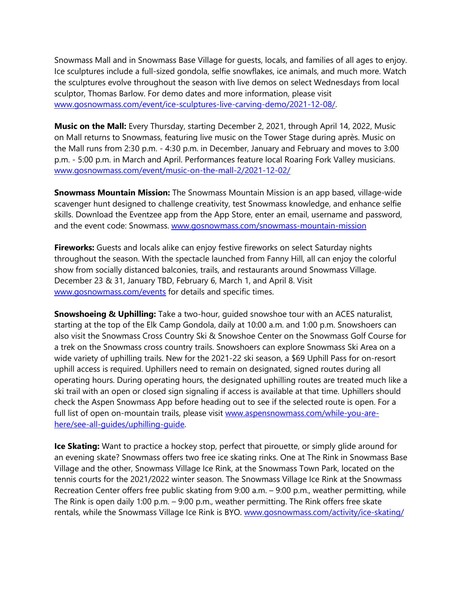Snowmass Mall and in Snowmass Base Village for guests, locals, and families of all ages to enjoy. Ice sculptures include a full-sized gondola, selfie snowflakes, ice animals, and much more. Watch the sculptures evolve throughout the season with live demos on select Wednesdays from local sculptor, Thomas Barlow. For demo dates and more information, please visit [www.gosnowmass.com/event/ice-sculptures-live-carving-demo/2021-12-08/.](http://www.gosnowmass.com/event/ice-sculptures-live-carving-demo/2021-12-08/) 

**Music on the Mall:** Every Thursday, starting December 2, 2021, through April 14, 2022, Music on Mall returns to Snowmass, featuring live music on the Tower Stage during après. Music on the Mall runs from 2:30 p.m. - 4:30 p.m. in December, January and February and moves to 3:00 p.m. - 5:00 p.m. in March and April. Performances feature local Roaring Fork Valley musicians. [www.gosnowmass.com/event/music-on-the-mall-2/2021-12-02/](http://www.gosnowmass.com/event/music-on-the-mall-2/2021-12-02/)

**Snowmass Mountain Mission:** The Snowmass Mountain Mission is an app based, village-wide scavenger hunt designed to challenge creativity, test Snowmass knowledge, and enhance selfie skills. Download the Eventzee app from the App Store, enter an email, username and password, and the event code: Snowmass. [www.gosnowmass.com/snowmass-mountain-mission](http://www.gosnowmass.com/snowmass-mountain-mission)

**Fireworks:** Guests and locals alike can enjoy festive fireworks on select Saturday nights throughout the season. With the spectacle launched from Fanny Hill, all can enjoy the colorful show from socially distanced balconies, trails, and restaurants around Snowmass Village. December 23 & 31, January TBD, February 6, March 1, and April 8. Visit [www.gosnowmass.com/events](http://www.gosnowmass.com/events) for details and specific times.

**Snowshoeing & Uphilling:** Take a two-hour, guided snowshoe tour with an ACES naturalist, starting at the top of the Elk Camp Gondola, daily at 10:00 a.m. and 1:00 p.m. Snowshoers can also visit the Snowmass Cross Country Ski & Snowshoe Center on the Snowmass Golf Course for a trek on the Snowmass cross country trails. Snowshoers can explore Snowmass Ski Area on a wide variety of uphilling trails. New for the 2021-22 ski season, a \$69 Uphill Pass for on-resort uphill access is required. Uphillers need to remain on designated, signed routes during all operating hours. During operating hours, the designated uphilling routes are treated much like a ski trail with an open or closed sign signaling if access is available at that time. Uphillers should check the Aspen Snowmass App before heading out to see if the selected route is open. For a full list of open on-mountain trails, please visit [www.aspensnowmass.com/while-you-are](http://www.aspensnowmass.com/while-you-are-here/see-all-guides/uphilling-guide)[here/see-all-guides/uphilling-guide.](http://www.aspensnowmass.com/while-you-are-here/see-all-guides/uphilling-guide)

**Ice Skating:** Want to practice a hockey stop, perfect that pirouette, or simply glide around for an evening skate? Snowmass offers two free ice skating rinks. One at The Rink in Snowmass Base Village and the other, Snowmass Village Ice Rink, at the Snowmass Town Park, located on the tennis courts for the 2021/2022 winter season. The Snowmass Village Ice Rink at the Snowmass Recreation Center offers free public skating from 9:00 a.m. – 9:00 p.m., weather permitting, while The Rink is open daily 1:00 p.m. – 9:00 p.m., weather permitting. The Rink offers free skate rentals, while the Snowmass Village Ice Rink is BYO. [www.gosnowmass.com/activity/ice-skating/](http://www.gosnowmass.com/activity/ice-skating/)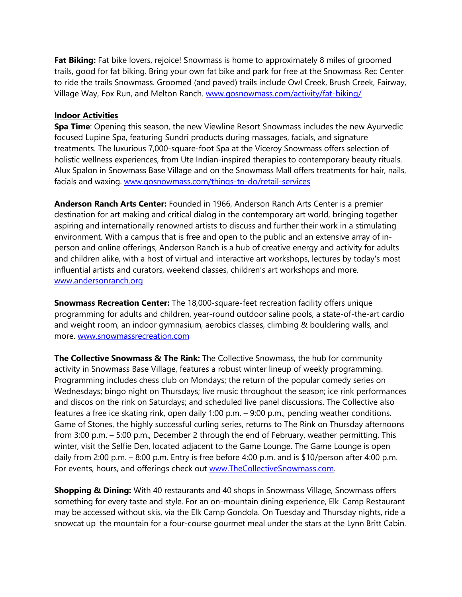**Fat Biking:** Fat bike lovers, rejoice! Snowmass is home to approximately 8 miles of groomed trails, good for fat biking. Bring your own fat bike and park for free at the Snowmass Rec Center to ride the trails Snowmass. Groomed (and paved) trails include Owl Creek, Brush Creek, Fairway, Village Way, Fox Run, and Melton Ranch. [www.gosnowmass.com/activity/fat-biking/](http://www.gosnowmass.com/activity/fat-biking/)

## **Indoor Activities**

**Spa Time**: Opening this season, the new Viewline Resort Snowmass includes the new Ayurvedic focused Lupine Spa, featuring Sundri products during massages, facials, and signature treatments. The luxurious 7,000-square-foot Spa at the Viceroy Snowmass offers selection of holistic wellness experiences, from Ute Indian-inspired therapies to contemporary beauty rituals. Alux Spalon in Snowmass Base Village and on the Snowmass Mall offers treatments for hair, nails, facials and waxing. [www.gosnowmass.com/things-to-do/retail-services](https://www.gosnowmass.com/things-to-do/retail-services/)

**Anderson Ranch Arts Center:** Founded in 1966, Anderson Ranch Arts Center is a premier destination for art making and critical dialog in the contemporary art world, bringing together aspiring and internationally renowned artists to discuss and further their work in a stimulating environment. With a campus that is free and open to the public and an extensive array of inperson and online offerings, Anderson Ranch is a hub of creative energy and activity for adults and children alike, with a host of virtual and interactive art workshops, lectures by today's most influential artists and curators, weekend classes, children's art workshops and more. [www.andersonranch.org](http://www.andersonranch.org/)

**Snowmass Recreation Center:** The 18,000-square-feet recreation facility offers unique programming for adults and children, year-round outdoor saline pools, a state-of-the-art cardio and weight room, an indoor gymnasium, aerobics classes, climbing & bouldering walls, and more. [www.snowmassrecreation.com](http://www.snowmassrecreation.com/)

**The Collective Snowmass & The Rink:** The Collective Snowmass, the hub for community activity in Snowmass Base Village, features a robust winter lineup of weekly programming. Programming includes chess club on Mondays; the return of the popular comedy series on Wednesdays; bingo night on Thursdays; live music throughout the season; ice rink performances and discos on the rink on Saturdays; and scheduled live panel discussions. The Collective also features a free ice skating rink, open daily 1:00 p.m. – 9:00 p.m., pending weather conditions. Game of Stones, the highly successful curling series, returns to The Rink on Thursday afternoons from 3:00 p.m. – 5:00 p.m., December 2 through the end of February, weather permitting. This winter, visit the Selfie Den, located adjacent to the Game Lounge. The Game Lounge is open daily from 2:00 p.m. – 8:00 p.m. Entry is free before 4:00 p.m. and is \$10/person after 4:00 p.m. For events, hours, and offerings check out [www.TheCollectiveSnowmass.com.](http://www.thecollectivesnowmass.com/)

**Shopping & Dining:** With 40 restaurants and 40 shops in Snowmass Village, Snowmass offers something for every taste and style. For an on-mountain dining experience, Elk Camp Restaurant may be accessed without skis, via the Elk Camp Gondola. On Tuesday and Thursday nights, ride a snowcat up the mountain for a four-course gourmet meal under the stars at the Lynn Britt Cabin.